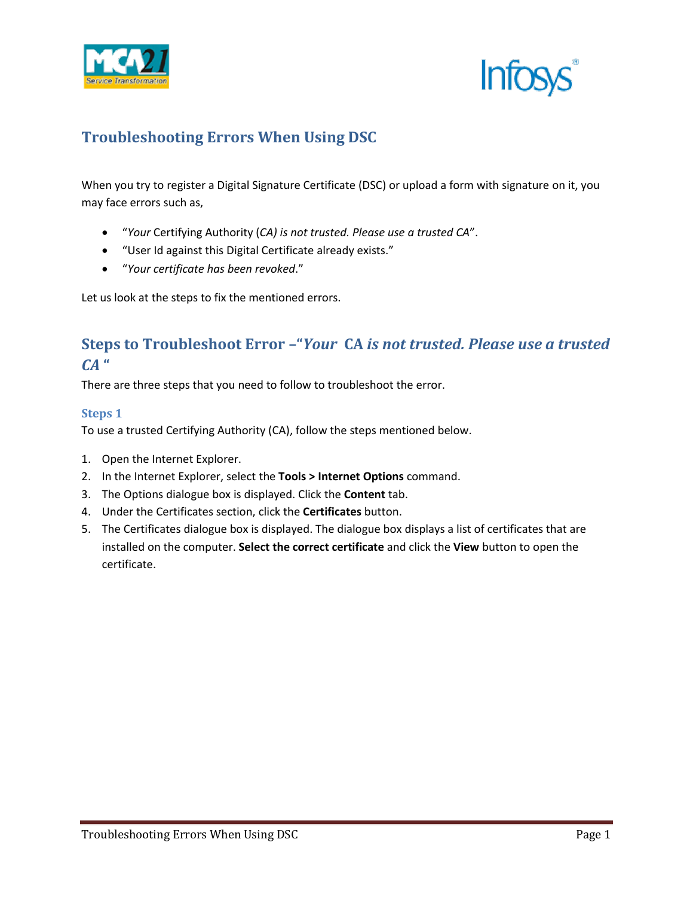



## **Troubleshooting Errors When Using DSC**

When you try to register a Digital Signature Certificate (DSC) or upload a form with signature on it, you may face errors such as,

- "*Your* Certifying Authority (*CA) is not trusted. Please use a trusted CA*".
- "User Id against this Digital Certificate already exists."
- "*Your certificate has been revoked*."

Let us look at the steps to fix the mentioned errors.

## **Steps to Troubleshoot Error –"***Your* **CA** *is not trusted. Please use a trusted CA* **"**

There are three steps that you need to follow to troubleshoot the error.

### **Steps 1**

To use a trusted Certifying Authority (CA), follow the steps mentioned below.

- 1. Open the Internet Explorer.
- 2. In the Internet Explorer, select the **Tools > Internet Options** command.
- 3. The Options dialogue box is displayed. Click the **Content** tab.
- 4. Under the Certificates section, click the **Certificates** button.
- 5. The Certificates dialogue box is displayed. The dialogue box displays a list of certificates that are installed on the computer. **Select the correct certificate** and click the **View** button to open the certificate.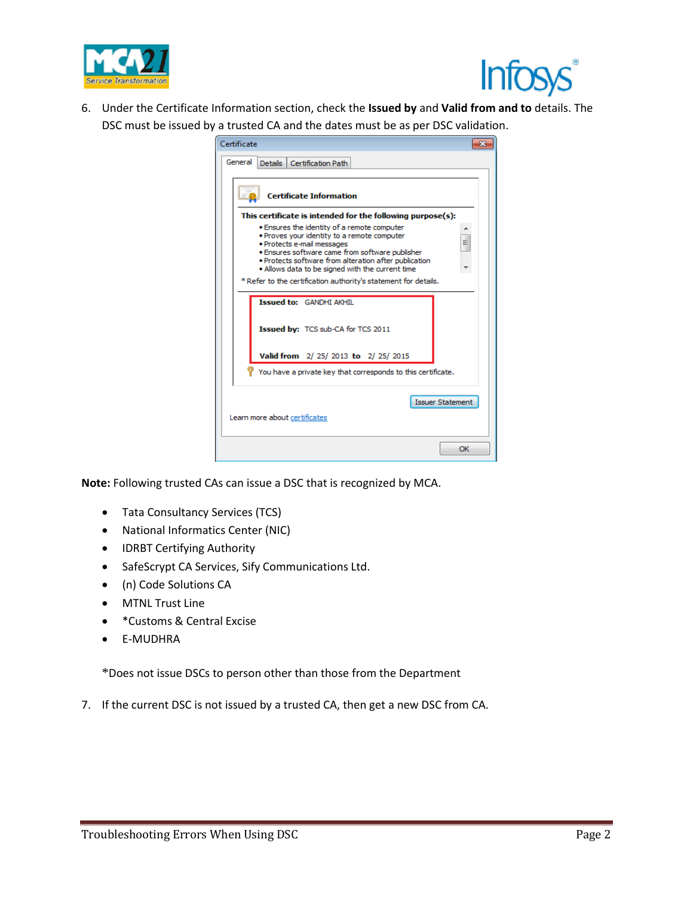



6. Under the Certificate Information section, check the **Issued by** and **Valid from and to** details. The DSC must be issued by a trusted CA and the dates must be as per DSC validation.

| Certificate                                                                                                                                                                                                                                                                                   |
|-----------------------------------------------------------------------------------------------------------------------------------------------------------------------------------------------------------------------------------------------------------------------------------------------|
| General<br>Details   Certification Path                                                                                                                                                                                                                                                       |
| <b>Certificate Information</b>                                                                                                                                                                                                                                                                |
| This certificate is intended for the following purpose(s):                                                                                                                                                                                                                                    |
| . Ensures the identity of a remote computer<br>. Proves your identity to a remote computer<br>E<br>· Protects e-mail messages<br>. Ensures software came from software publisher<br>. Protects software from alteration after publication<br>. Allows data to be signed with the current time |
| * Refer to the certification authority's statement for details.                                                                                                                                                                                                                               |
| <b>Issued to: GANDHI AKHIL</b>                                                                                                                                                                                                                                                                |
| Issued by: TCS sub-CA for TCS 2011                                                                                                                                                                                                                                                            |
| Valid from 2/25/2013 to 2/25/2015                                                                                                                                                                                                                                                             |
| You have a private key that corresponds to this certificate.                                                                                                                                                                                                                                  |
| <b>Issuer Statement</b><br>Learn more about certificates                                                                                                                                                                                                                                      |
| OK                                                                                                                                                                                                                                                                                            |

**Note:** Following trusted CAs can issue a DSC that is recognized by MCA.

- Tata Consultancy Services (TCS)
- National Informatics Center (NIC)
- IDRBT Certifying Authority
- SafeScrypt CA Services, Sify Communications Ltd.
- (n) Code Solutions CA
- MTNL Trust Line
- \*Customs & Central Excise
- E-MUDHRA

\*Does not issue DSCs to person other than those from the Department

7. If the current DSC is not issued by a trusted CA, then get a new DSC from CA.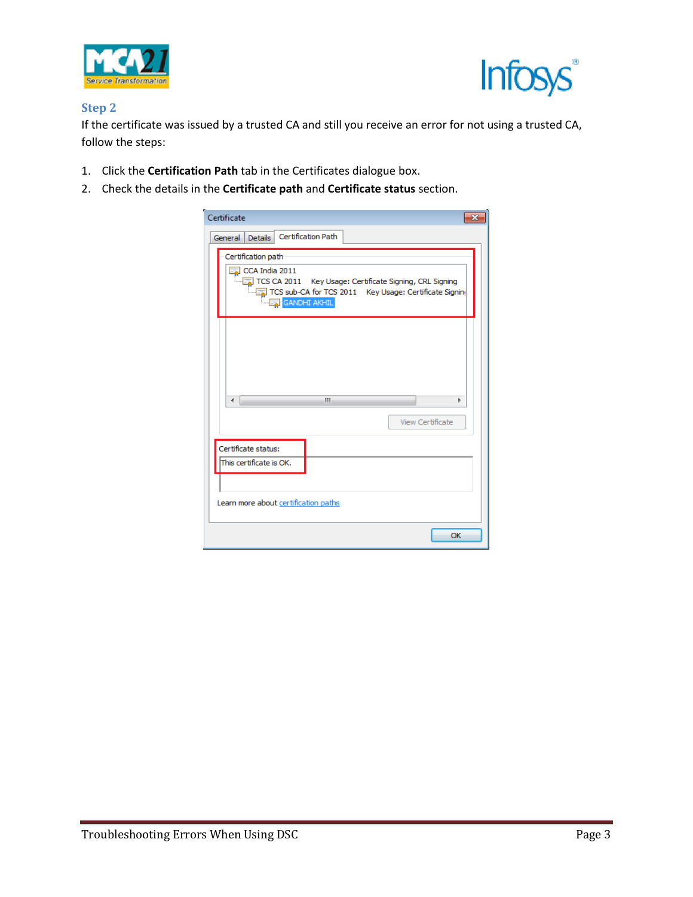



### **Step 2**

If the certificate was issued by a trusted CA and still you receive an error for not using a trusted CA, follow the steps:

- 1. Click the **Certification Path** tab in the Certificates dialogue box.
- 2. Check the details in the **Certificate path** and **Certificate status** section.

| Certificate<br>$\overline{\mathbf{x}}$                                                                                                                                               |
|--------------------------------------------------------------------------------------------------------------------------------------------------------------------------------------|
| Certification Path<br><b>Details</b><br>General                                                                                                                                      |
| Certification path<br>$\sqrt{2}$ CCA India 2011<br>TCS CA 2011 Key Usage: Certificate Signing, CRL Signing<br>TCS sub-CA for TCS 2011 Key Usage: Certificate Signing<br>GANDHI AKHIL |
|                                                                                                                                                                                      |
| Ш<br>∢<br>ь                                                                                                                                                                          |
| View Certificate                                                                                                                                                                     |
| Certificate status:<br>This certificate is OK.                                                                                                                                       |
| Learn more about certification paths                                                                                                                                                 |
| OK                                                                                                                                                                                   |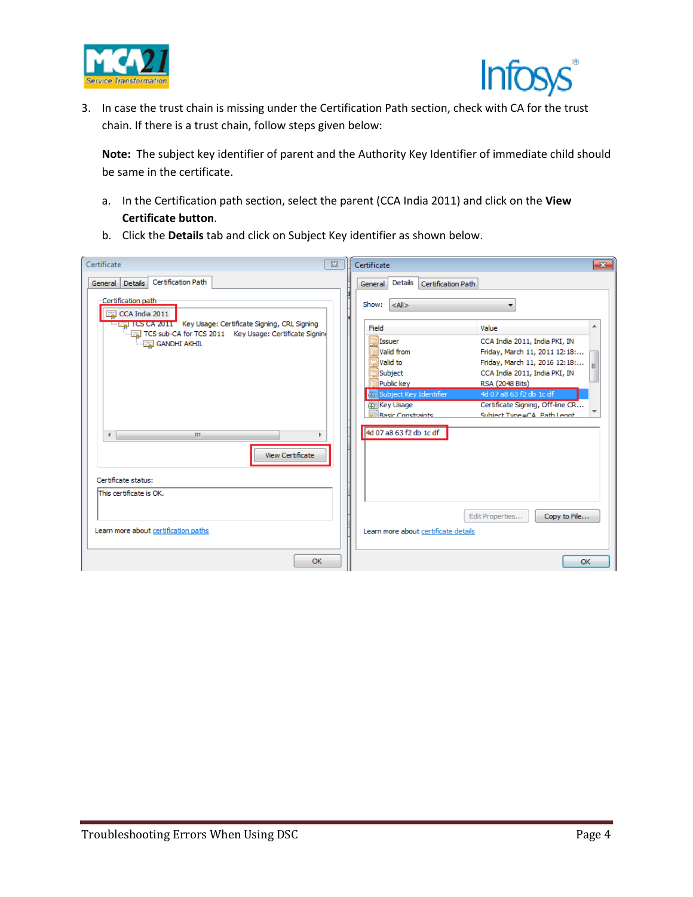



3. In case the trust chain is missing under the Certification Path section, check with CA for the trust chain. If there is a trust chain, follow steps given below:

**Note:** The subject key identifier of parent and the Authority Key Identifier of immediate child should be same in the certificate.

- a. In the Certification path section, select the parent (CCA India 2011) and click on the **View Certificate button**.
- b. Click the **Details** tab and click on Subject Key identifier as shown below.

| Certificate                                                                                                              | $\Sigma$ | Certificate                              | $-23$                                                          |
|--------------------------------------------------------------------------------------------------------------------------|----------|------------------------------------------|----------------------------------------------------------------|
| Certification Path<br>Details<br>General                                                                                 |          | Details<br>Certification Path<br>General |                                                                |
| Certification path<br>$\boxed{5}$ CCA India 2011                                                                         |          | Show:<br>$<$ All $>$                     |                                                                |
| Fig. 1 ICS CA 2011 Key Usage: Certificate Signing, CRL Signing<br>TCS sub-CA for TCS 2011 Key Usage: Certificate Signing |          | Field                                    | Value                                                          |
| GANDHI AKHIL                                                                                                             |          | 圖 Issuer<br>Valid from                   | CCA India 2011, India PKI, IN<br>Friday, March 11, 2011 12:18: |
|                                                                                                                          |          | Valid to                                 | Friday, March 11, 2016 12:18:                                  |
|                                                                                                                          |          | Subject                                  | CCA India 2011, India PKI, IN                                  |
|                                                                                                                          |          | Public key                               | RSA (2048 Bits)                                                |
|                                                                                                                          |          | Sal Subject Key Identifier<br>Key Usage  | 4d 07 a8 63 f2 db 1c df<br>Certificate Signing, Off-line CR    |
|                                                                                                                          |          | <b>Rasic Constraints</b>                 | Subject Tyne=CA Path Lengt                                     |
| m.<br>$\leftarrow$<br>ь<br><b>View Certificate</b>                                                                       |          | 4d 07 a8 63 f2 db 1c df                  |                                                                |
| Certificate status:                                                                                                      |          |                                          |                                                                |
| This certificate is OK.                                                                                                  |          |                                          |                                                                |
| Learn more about certification paths                                                                                     |          | Learn more about certificate details     | Edit Properties<br>Copy to File                                |
| OK                                                                                                                       |          |                                          | OK                                                             |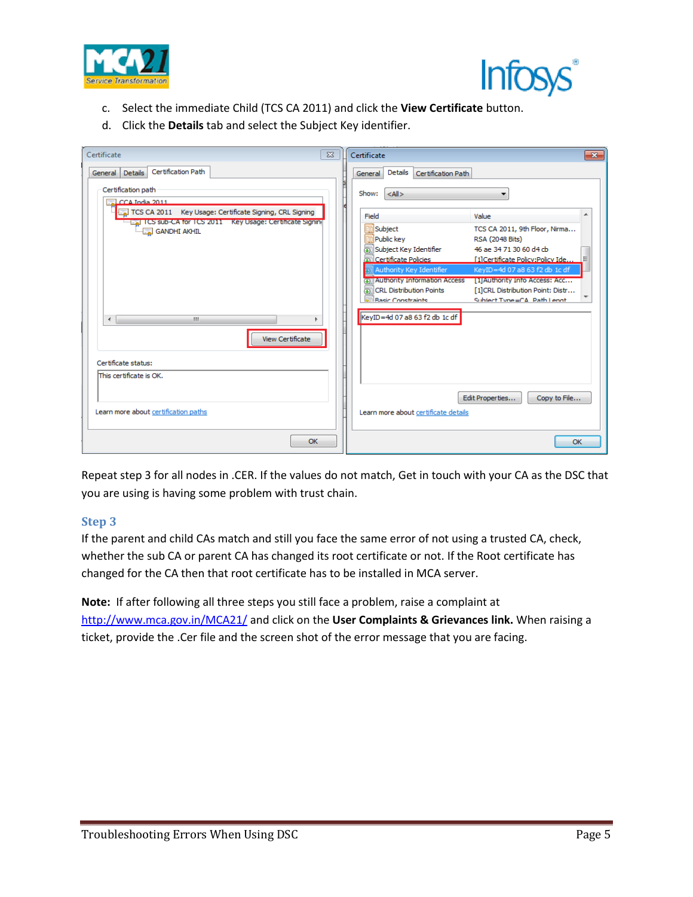



- c. Select the immediate Child (TCS CA 2011) and click the **View Certificate** button.
- d. Click the **Details** tab and select the Subject Key identifier.

| Certificate<br>$\Sigma$                                                                                                 | Certificate<br>$\mathbf{x}$                                                                                                                                                                                             |
|-------------------------------------------------------------------------------------------------------------------------|-------------------------------------------------------------------------------------------------------------------------------------------------------------------------------------------------------------------------|
| Certification Path<br>General Details                                                                                   | Details<br>Certification Path<br>General                                                                                                                                                                                |
| Certification path<br>$\sqrt{2}$ CCA India 2011                                                                         | Show:<br>$<$ All $>$                                                                                                                                                                                                    |
| TCS CA 2011 Key Usage: Certificate Signing, CRL Signing<br>Fig. 1 CS sub-CA for TCS 2011 Key Usage: Certificate Signing | Field<br>Value                                                                                                                                                                                                          |
| <b>GANDHI AKHIL</b>                                                                                                     | subject<br>TCS CA 2011, 9th Floor, Nirma<br>Public key<br>RSA (2048 Bits)                                                                                                                                               |
|                                                                                                                         | Subject Key Identifier<br>46 ae 34 71 30 60 d4 cb<br>Certificate Policies<br>[1]Certificate Policy:Policy Ide                                                                                                           |
|                                                                                                                         | <b>51 Authority Key Identifier</b><br>KeyID=4d 07 a8 63 f2 db 1c df<br><b>Call Authority Information Access</b><br>[1] Authority Info Access: Acc<br><b>CRL Distribution Points</b><br>[1]CRL Distribution Point: Distr |
| $\leftarrow$<br>m.                                                                                                      | <b>Rasic Constraints</b><br>Subject Tyne=CA Path Lengt<br>KeyID=4d 07 a8 63 f2 db 1c df                                                                                                                                 |
| View Certificate                                                                                                        |                                                                                                                                                                                                                         |
| Certificate status:<br>This certificate is OK.                                                                          |                                                                                                                                                                                                                         |
| Learn more about certification paths                                                                                    | Edit Properties<br>Copy to File<br>Learn more about certificate details                                                                                                                                                 |
| OK                                                                                                                      | OK                                                                                                                                                                                                                      |

Repeat step 3 for all nodes in .CER. If the values do not match, Get in touch with your CA as the DSC that you are using is having some problem with trust chain.

### **Step 3**

If the parent and child CAs match and still you face the same error of not using a trusted CA, check, whether the sub CA or parent CA has changed its root certificate or not. If the Root certificate has changed for the CA then that root certificate has to be installed in MCA server.

**Note:** If after following all three steps you still face a problem, raise a complaint at <http://www.mca.gov.in/MCA21/> and click on the **User Complaints & Grievances link.** When raising a ticket, provide the .Cer file and the screen shot of the error message that you are facing.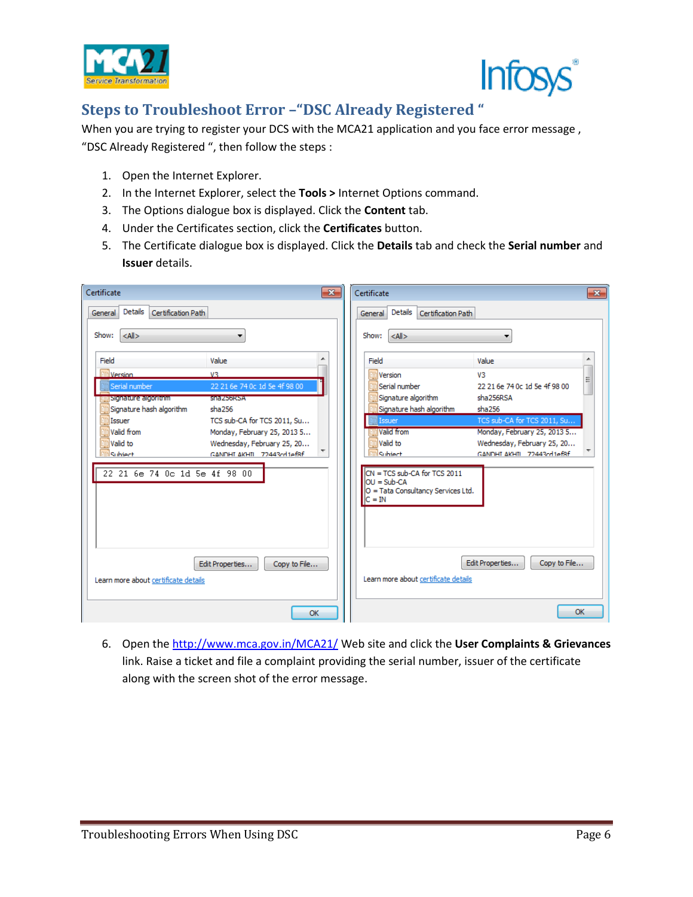



# **Steps to Troubleshoot Error –"DSC Already Registered "**

When you are trying to register your DCS with the MCA21 application and you face error message , "DSC Already Registered ", then follow the steps :

- 1. Open the Internet Explorer.
- 2. In the Internet Explorer, select the **Tools >** Internet Options command.
- 3. The Options dialogue box is displayed. Click the **Content** tab.
- 4. Under the Certificates section, click the **Certificates** button.
- 5. The Certificate dialogue box is displayed. Click the **Details** tab and check the **Serial number** and **Issuer** details.

| Certificate                                                                                                                                                                                                                                                                                                                                                        | $\overline{\mathbf{x}}$                                                                                                                                                                                                                                                                                                                                                                                                                           |
|--------------------------------------------------------------------------------------------------------------------------------------------------------------------------------------------------------------------------------------------------------------------------------------------------------------------------------------------------------------------|---------------------------------------------------------------------------------------------------------------------------------------------------------------------------------------------------------------------------------------------------------------------------------------------------------------------------------------------------------------------------------------------------------------------------------------------------|
| $-x$                                                                                                                                                                                                                                                                                                                                                               | Certificate                                                                                                                                                                                                                                                                                                                                                                                                                                       |
| Details                                                                                                                                                                                                                                                                                                                                                            | Details                                                                                                                                                                                                                                                                                                                                                                                                                                           |
| Certification Path                                                                                                                                                                                                                                                                                                                                                 | Certification Path                                                                                                                                                                                                                                                                                                                                                                                                                                |
| General                                                                                                                                                                                                                                                                                                                                                            | General                                                                                                                                                                                                                                                                                                                                                                                                                                           |
| Show: $\leq A$   ><br>۰                                                                                                                                                                                                                                                                                                                                            | $<$ All $>$<br>Show:<br>▼                                                                                                                                                                                                                                                                                                                                                                                                                         |
| Field<br>Value                                                                                                                                                                                                                                                                                                                                                     | Field<br>▲<br>Value                                                                                                                                                                                                                                                                                                                                                                                                                               |
| Version<br>V3<br>Serial number<br>22 21 6e 74 0c 1d 5e 4f 98 00<br>gisignature algoritmin<br><b>RINEZIJOKI ZA</b><br>Signature hash algorithm<br>sha256<br>TCS sub-CA for TCS 2011, Su<br>Issuer<br>■Valid from<br>Monday, February 25, 2013 5<br>■Valid to<br>Wednesday, February 25, 20<br>Subject<br>GANDHI AKHIL 72443rd1ef8f<br>22 21 6e 74 0c 1d 5e 4f 98 00 | ⊞ Version<br>V <sub>3</sub><br>Ξ<br>Serial number<br>22 21 6e 74 0c 1d 5e 4f 98 00<br>Signature algorithm<br>sha256RSA<br>Signature hash algorithm<br>sha256<br>TCS sub-CA for TCS 2011, Su<br><b>I</b> ssuer<br>Walid from<br>Monday, February 25, 2013 5<br>Valid to<br>Wednesday, February 25, 20<br>Subject<br>GANDHI AKHIL 72443cd1ef8f<br>$CN = TCS sub-CA$ for TCS 2011<br>$OU = Sub-CA$<br>O = Tata Consultancy Services Ltd.<br>$C = IN$ |
| Edit Properties                                                                                                                                                                                                                                                                                                                                                    | Edit Properties                                                                                                                                                                                                                                                                                                                                                                                                                                   |
| Copy to File                                                                                                                                                                                                                                                                                                                                                       | Copy to File                                                                                                                                                                                                                                                                                                                                                                                                                                      |
| Learn more about certificate details                                                                                                                                                                                                                                                                                                                               | Learn more about certificate details                                                                                                                                                                                                                                                                                                                                                                                                              |
| OK                                                                                                                                                                                                                                                                                                                                                                 | OK                                                                                                                                                                                                                                                                                                                                                                                                                                                |

6. Open the<http://www.mca.gov.in/MCA21/> Web site and click the **User Complaints & Grievances** link. Raise a ticket and file a complaint providing the serial number, issuer of the certificate along with the screen shot of the error message.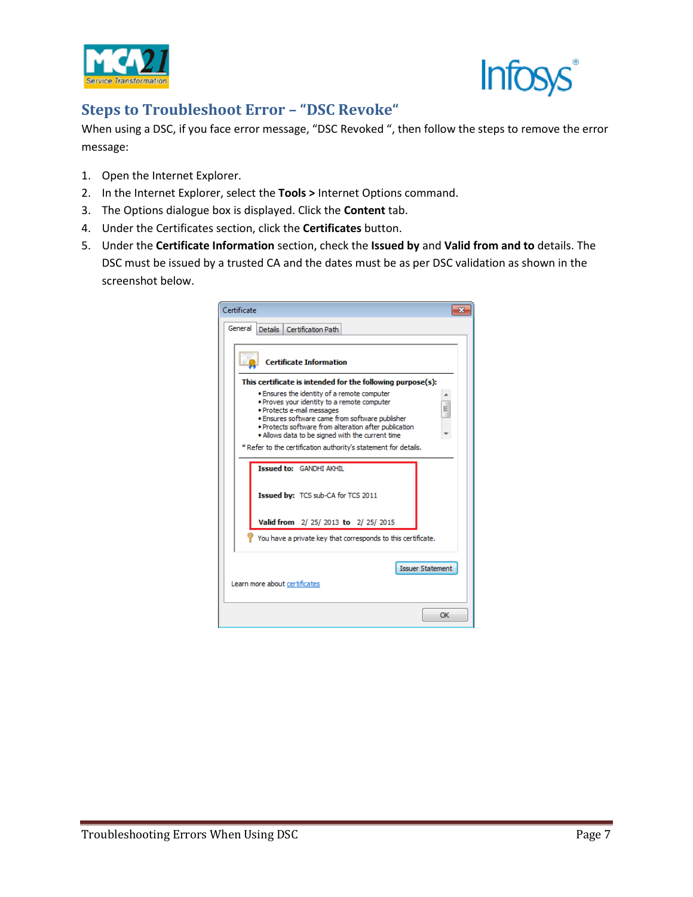



# **Steps to Troubleshoot Error – "DSC Revoke"**

When using a DSC, if you face error message, "DSC Revoked ", then follow the steps to remove the error message:

- 1. Open the Internet Explorer.
- 2. In the Internet Explorer, select the **Tools >** Internet Options command.
- 3. The Options dialogue box is displayed. Click the **Content** tab.
- 4. Under the Certificates section, click the **Certificates** button.
- 5. Under the **Certificate Information** section, check the **Issued by** and **Valid from and to** details. The DSC must be issued by a trusted CA and the dates must be as per DSC validation as shown in the screenshot below.

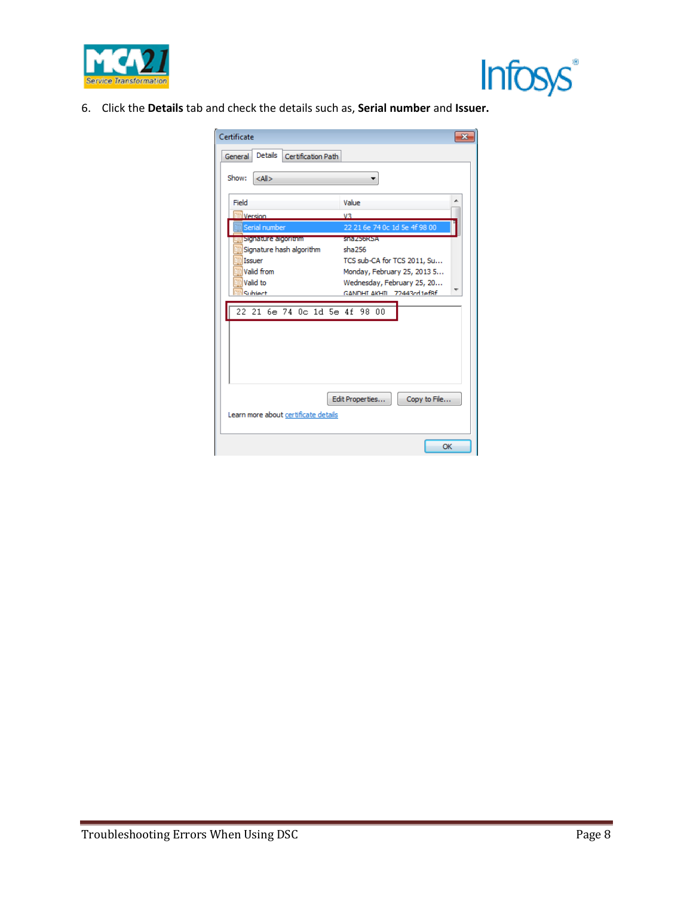



6. Click the **Details** tab and check the details such as, **Serial number** and **Issuer.**

| Details<br>Certification Path<br>General<br>Show:<br>$<$ All $>$<br>Field<br>Value<br><b>Nersion</b><br>V3<br>22 21 6e 74 0c 1d 5e 4f 98 00<br>Serial number<br>Signacure algoritoini<br><b>ShazbokSA</b><br>Signature hash algorithm<br>sha256<br>Issuer<br>TCS sub-CA for TCS 2011, Su<br>Valid from<br>Monday, February 25, 2013 5<br>Valid to<br>Wednesday, February 25, 20<br>Subject<br>GANDHI AKHIL 72443rd1ef8f<br>22 21 6e 74 0c 1d 5e 4f 98<br>00 | Certificate |              |
|-------------------------------------------------------------------------------------------------------------------------------------------------------------------------------------------------------------------------------------------------------------------------------------------------------------------------------------------------------------------------------------------------------------------------------------------------------------|-------------|--------------|
|                                                                                                                                                                                                                                                                                                                                                                                                                                                             |             |              |
|                                                                                                                                                                                                                                                                                                                                                                                                                                                             |             |              |
|                                                                                                                                                                                                                                                                                                                                                                                                                                                             |             |              |
|                                                                                                                                                                                                                                                                                                                                                                                                                                                             |             |              |
|                                                                                                                                                                                                                                                                                                                                                                                                                                                             |             |              |
|                                                                                                                                                                                                                                                                                                                                                                                                                                                             |             |              |
| Edit Properties<br>Learn more about certificate details                                                                                                                                                                                                                                                                                                                                                                                                     |             | Copy to File |
| OK                                                                                                                                                                                                                                                                                                                                                                                                                                                          |             |              |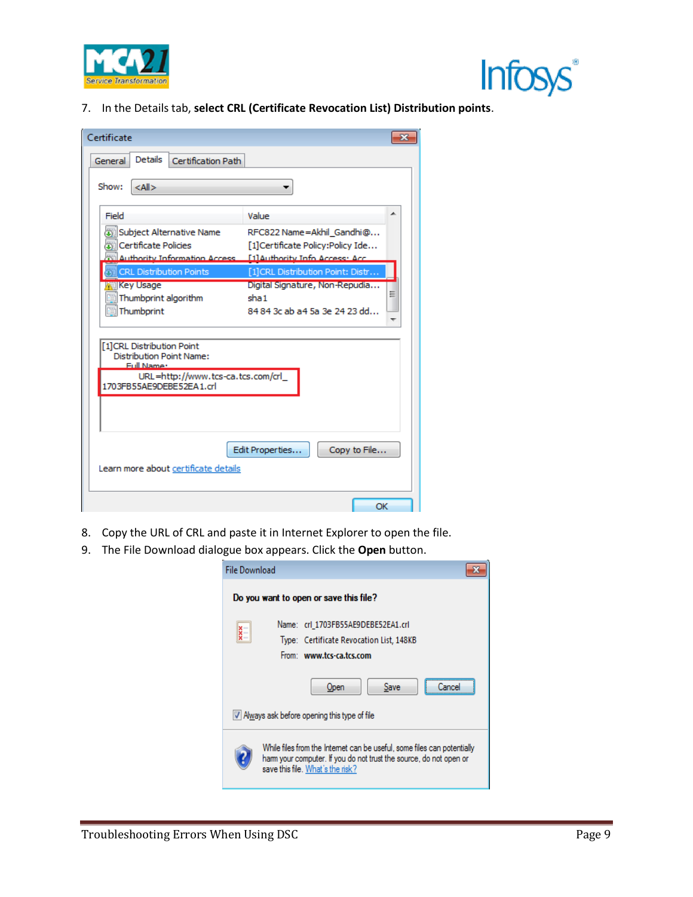



7. In the Details tab, **select CRL (Certificate Revocation List) Distribution points**.

| Certificate                                                                                                                                 |                                                                               |
|---------------------------------------------------------------------------------------------------------------------------------------------|-------------------------------------------------------------------------------|
| <b>Details</b><br>Certification Path<br>General                                                                                             |                                                                               |
|                                                                                                                                             |                                                                               |
| Show:<br>$<$ All $>$                                                                                                                        |                                                                               |
| Field                                                                                                                                       | Value                                                                         |
| Subject Alternative Name<br>因 Certificate Policies<br>Authority Information Access [1] Authority Info Access: Acc.                          | RFC822 Name=Akhil_Gandhi@<br>[1]Certificate Policy:Policy Ide                 |
| <b>CRL Distribution Points</b>                                                                                                              | [1]CRL Distribution Point: Distr                                              |
| <b>Key Usage</b><br>Thumbprint algorithm<br>Thumborint                                                                                      | Digital Signature, Non-Repudia<br>Ξ<br>sha 1<br>84 84 3c ab a4 5a 3e 24 23 dd |
| [1]CRL Distribution Point<br><b>Distribution Point Name:</b><br>Full Name:<br>URL=http://www.tcs-ca.tcs.com/crl<br>1703FB55AE9DEBE52EA1.crl |                                                                               |
| Learn more about certificate details                                                                                                        | Edit Properties<br>Copy to File                                               |
|                                                                                                                                             | OK                                                                            |

- 8. Copy the URL of CRL and paste it in Internet Explorer to open the file.
- 9. The File Download dialogue box appears. Click the **Open** button.

| <b>File Download</b> |                                                                                                                                                                                  |
|----------------------|----------------------------------------------------------------------------------------------------------------------------------------------------------------------------------|
|                      | Do you want to open or save this file?                                                                                                                                           |
|                      | Name: crl 1703FB55AE9DEBE52EA1.crl<br>Type: Certificate Revocation List, 148KB<br>From: www.tcs-ca.tcs.com                                                                       |
|                      | Save<br>Open<br>M Always ask before opening this type of file                                                                                                                    |
|                      | While files from the Internet can be useful, some files can potentially<br>ham your computer. If you do not trust the source, do not open or<br>save this file. What's the risk? |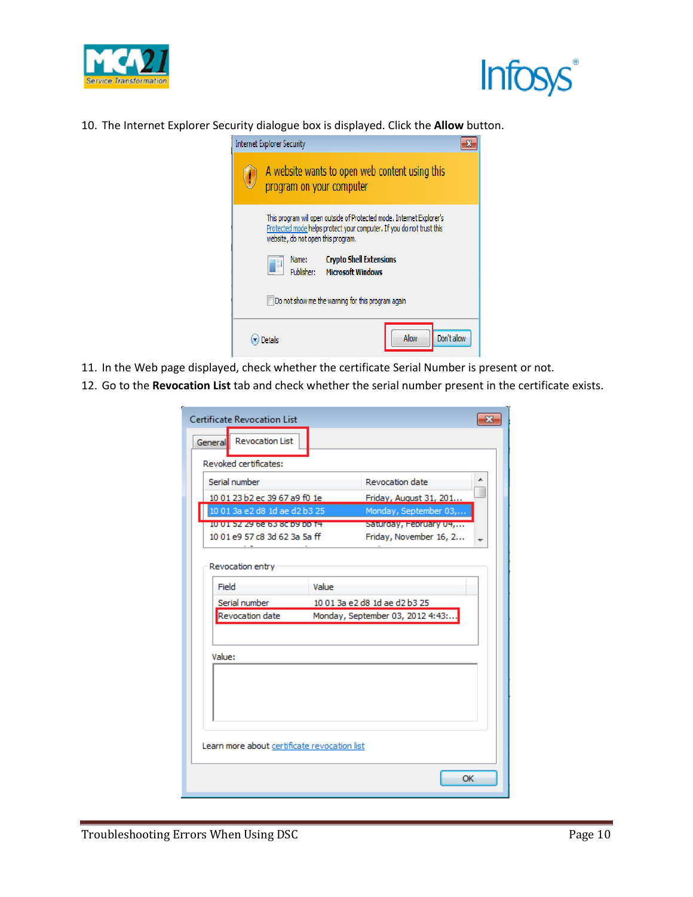



10. The Internet Explorer Security dialogue box is displayed. Click the **Allow** button.



- 11. In the Web page displayed, check whether the certificate Serial Number is present or not.
- 12. Go to the **Revocation List** tab and check whether the serial number present in the certificate exists.

| <b>Certificate Revocation List</b><br><b>Revocation List</b><br>General |                                                                   |  |
|-------------------------------------------------------------------------|-------------------------------------------------------------------|--|
| Revoked certificates:                                                   |                                                                   |  |
| Serial number                                                           | Revocation date                                                   |  |
| 10 01 23 b2 ec 39 67 a9 f0 1e                                           | Friday, August 31, 201                                            |  |
| 10 01 3a e2 d8 1d ae d2 b3 25                                           | Monday, September 03,                                             |  |
| 101010727910215516009100101                                             | Saturgay, February 04,                                            |  |
| 10 01 e9 57 c8 3d 62 3a 5a ff                                           | Friday, November 16, 2                                            |  |
| Serial number<br>Revocation date                                        | 10 01 3a e2 d8 1d ae d2 b3 25<br>Monday, September 03, 2012 4:43: |  |
| Value:                                                                  |                                                                   |  |
|                                                                         |                                                                   |  |